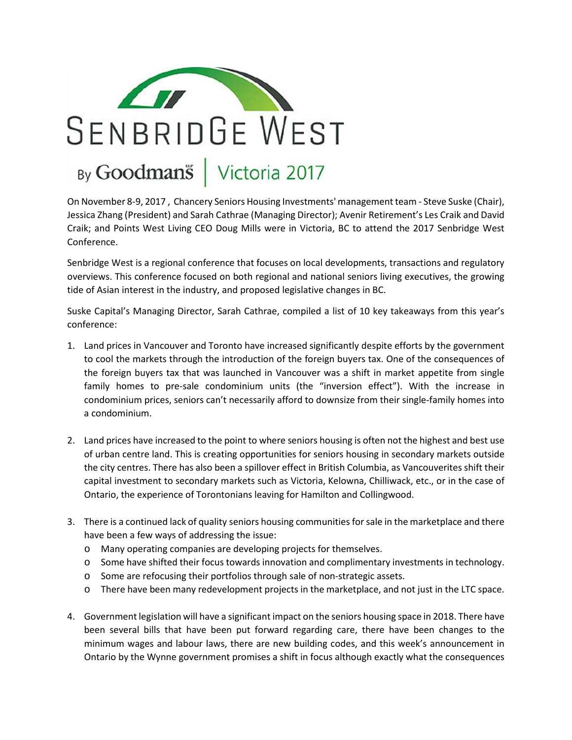

## By Goodman<sup>®</sup> | Victoria 2017

On November 8-9, 2017 , Chancery Seniors Housing Investments' management team - Steve Suske (Chair), Jessica Zhang (President) and Sarah Cathrae (Managing Director); Avenir Retirement's Les Craik and David Craik; and Points West Living CEO Doug Mills were in Victoria, BC to attend the 2017 Senbridge West Conference.

Senbridge West is a regional conference that focuses on local developments, transactions and regulatory overviews. This conference focused on both regional and national seniors living executives, the growing tide of Asian interest in the industry, and proposed legislative changes in BC.

Suske Capital's Managing Director, Sarah Cathrae, compiled a list of 10 key takeaways from this year's conference:

- 1. Land prices in Vancouver and Toronto have increased significantly despite efforts by the government to cool the markets through the introduction of the foreign buyers tax. One of the consequences of the foreign buyers tax that was launched in Vancouver was a shift in market appetite from single family homes to pre-sale condominium units (the "inversion effect"). With the increase in condominium prices, seniors can't necessarily afford to downsize from their single-family homes into a condominium.
- 2. Land prices have increased to the point to where seniors housing is often not the highest and best use of urban centre land. This is creating opportunities for seniors housing in secondary markets outside the city centres. There has also been a spillover effect in British Columbia, as Vancouverites shift their capital investment to secondary markets such as Victoria, Kelowna, Chilliwack, etc., or in the case of Ontario, the experience of Torontonians leaving for Hamilton and Collingwood.
- 3. There is a continued lack of quality seniors housing communities for sale in the marketplace and there have been a few ways of addressing the issue:
	- o Many operating companies are developing projects for themselves.
	- o Some have shifted their focus towards innovation and complimentary investments in technology.
	- o Some are refocusing their portfolios through sale of non-strategic assets.
	- o There have been many redevelopment projects in the marketplace, and not just in the LTC space.
- 4. Government legislation will have a significant impact on the seniors housing space in 2018. There have been several bills that have been put forward regarding care, there have been changes to the minimum wages and labour laws, there are new building codes, and this week's announcement in Ontario by the Wynne government promises a shift in focus although exactly what the consequences